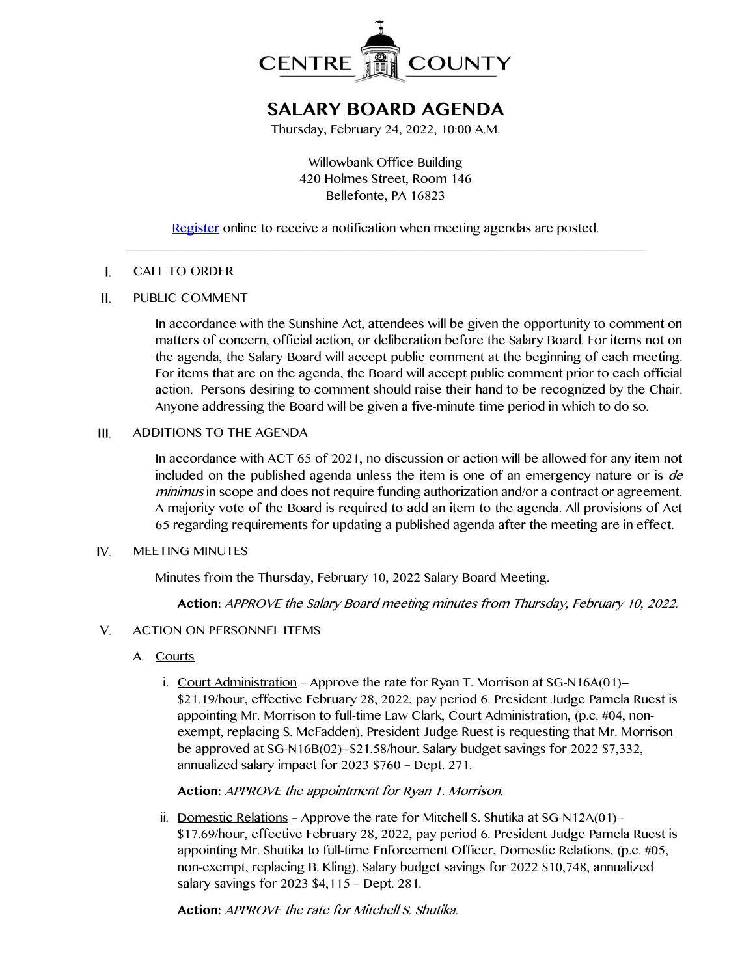

# **SALARY BOARD AGENDA**

Thursday, February 24, 2022, 10:00 A.M.

Willowbank Office Building 420 Holmes Street, Room 146 Bellefonte, PA 16823

## [Register](http://www.centrecountypa.gov/AgendaCenter) online to receive a notification when meeting agendas are posted. \_\_\_\_\_\_\_\_\_\_\_\_\_\_\_\_\_\_\_\_\_\_\_\_\_\_\_\_\_\_\_\_\_\_\_\_\_\_\_\_\_\_\_\_\_\_\_\_\_\_\_\_\_\_\_\_\_\_\_\_\_\_\_\_\_\_\_\_\_\_\_\_\_\_\_\_\_\_

#### $\mathbf{I}$ . CALL TO ORDER

#### $II.$ PUBLIC COMMENT

In accordance with the Sunshine Act, attendees will be given the opportunity to comment on matters of concern, official action, or deliberation before the Salary Board. For items not on the agenda, the Salary Board will accept public comment at the beginning of each meeting. For items that are on the agenda, the Board will accept public comment prior to each official action. Persons desiring to comment should raise their hand to be recognized by the Chair. Anyone addressing the Board will be given a five-minute time period in which to do so.

### ADDITIONS TO THE AGENDA  $III.$

In accordance with ACT 65 of 2021, no discussion or action will be allowed for any item not included on the published agenda unless the item is one of an emergency nature or is *de* minimus in scope and does not require funding authorization and/or a contract or agreement. A majority vote of the Board is required to add an item to the agenda. All provisions of Act 65 regarding requirements for updating a published agenda after the meeting are in effect.

#### IV. MEETING MINUTES

Minutes from the Thursday, February 10, 2022 Salary Board Meeting.

**Action:** APPROVE the Salary Board meeting minutes from Thursday, February 10, 2022.

### V. ACTION ON PERSONNEL ITEMS

- A. Courts
	- i. Court Administration Approve the rate for Ryan T. Morrison at SG-N16A(01)-- \$21.19/hour, effective February 28, 2022, pay period 6. President Judge Pamela Ruest is appointing Mr. Morrison to full-time Law Clark, Court Administration, (p.c. #04, nonexempt, replacing S. McFadden). President Judge Ruest is requesting that Mr. Morrison be approved at SG-N16B(02)--\$21.58/hour. Salary budget savings for 2022 \$7,332, annualized salary impact for 2023 \$760 – Dept. 271.

### **Action:** APPROVE the appointment for Ryan T. Morrison.

ii. Domestic Relations – Approve the rate for Mitchell S. Shutika at SG-N12A(01)-- \$17.69/hour, effective February 28, 2022, pay period 6. President Judge Pamela Ruest is appointing Mr. Shutika to full-time Enforcement Officer, Domestic Relations, (p.c. #05, non-exempt, replacing B. Kling). Salary budget savings for 2022 \$10,748, annualized salary savings for 2023 \$4,115 – Dept. 281.

**Action:** APPROVE the rate for Mitchell S. Shutika.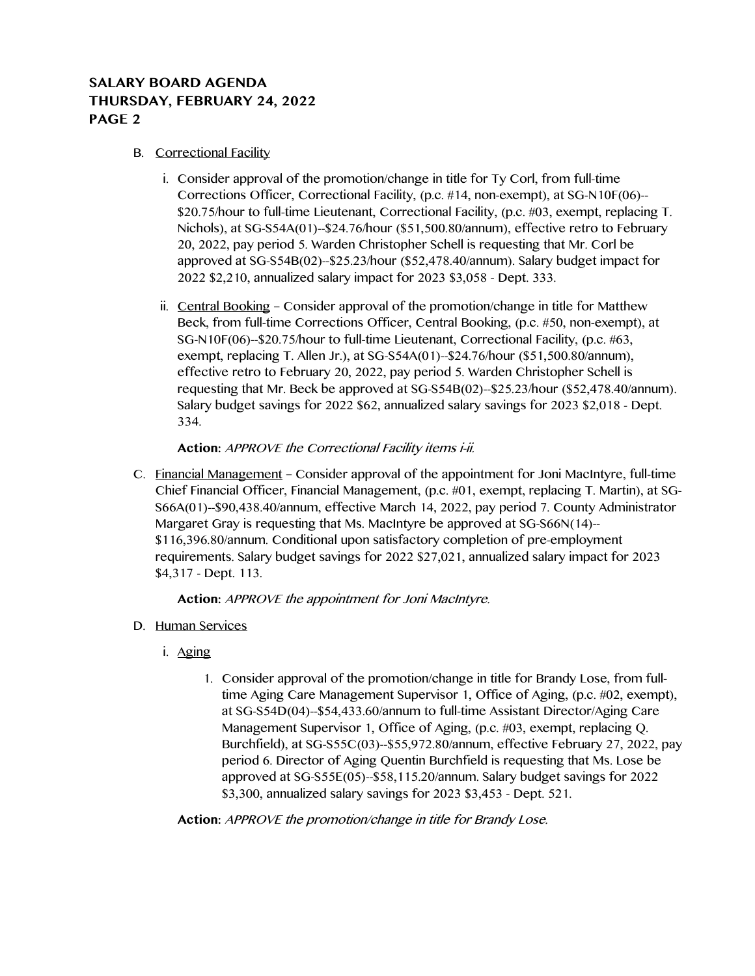## **SALARY BOARD AGENDA THURSDAY, FEBRUARY 24, 2022 PAGE 2**

### B. Correctional Facility

- i. Consider approval of the promotion/change in title for Ty Corl, from full-time Corrections Officer, Correctional Facility, (p.c. #14, non-exempt), at SG-N10F(06)-- \$20.75/hour to full-time Lieutenant, Correctional Facility, (p.c. #03, exempt, replacing T. Nichols), at SG-S54A(01)--\$24.76/hour (\$51,500.80/annum), effective retro to February 20, 2022, pay period 5. Warden Christopher Schell is requesting that Mr. Corl be approved at SG-S54B(02)--\$25.23/hour (\$52,478.40/annum). Salary budget impact for 2022 \$2,210, annualized salary impact for 2023 \$3,058 - Dept. 333.
- ii. Central Booking Consider approval of the promotion/change in title for Matthew Beck, from full-time Corrections Officer, Central Booking, (p.c. #50, non-exempt), at SG-N10F(06)--\$20.75/hour to full-time Lieutenant, Correctional Facility, (p.c. #63, exempt, replacing T. Allen Jr.), at SG-S54A(01)--\$24.76/hour (\$51,500.80/annum), effective retro to February 20, 2022, pay period 5. Warden Christopher Schell is requesting that Mr. Beck be approved at SG-S54B(02)--\$25.23/hour (\$52,478.40/annum). Salary budget savings for 2022 \$62, annualized salary savings for 2023 \$2,018 - Dept. 334.

### **Action:** APPROVE the Correctional Facility items i-ii.

C. Financial Management – Consider approval of the appointment for Joni MacIntyre, full-time Chief Financial Officer, Financial Management, (p.c. #01, exempt, replacing T. Martin), at SG-S66A(01)--\$90,438.40/annum, effective March 14, 2022, pay period 7. County Administrator Margaret Gray is requesting that Ms. MacIntyre be approved at SG-S66N(14)-- \$116,396.80/annum. Conditional upon satisfactory completion of pre-employment requirements. Salary budget savings for 2022 \$27,021, annualized salary impact for 2023 \$4,317 - Dept. 113.

### **Action:** APPROVE the appointment for Joni MacIntyre.

- D. Human Services
	- i. Aging
		- 1. Consider approval of the promotion/change in title for Brandy Lose, from fulltime Aging Care Management Supervisor 1, Office of Aging, (p.c. #02, exempt), at SG-S54D(04)--\$54,433.60/annum to full-time Assistant Director/Aging Care Management Supervisor 1, Office of Aging, (p.c. #03, exempt, replacing Q. Burchfield), at SG-S55C(03)--\$55,972.80/annum, effective February 27, 2022, pay period 6. Director of Aging Quentin Burchfield is requesting that Ms. Lose be approved at SG-S55E(05)--\$58,115.20/annum. Salary budget savings for 2022 \$3,300, annualized salary savings for 2023 \$3,453 - Dept. 521.

**Action:** APPROVE the promotion/change in title for Brandy Lose.